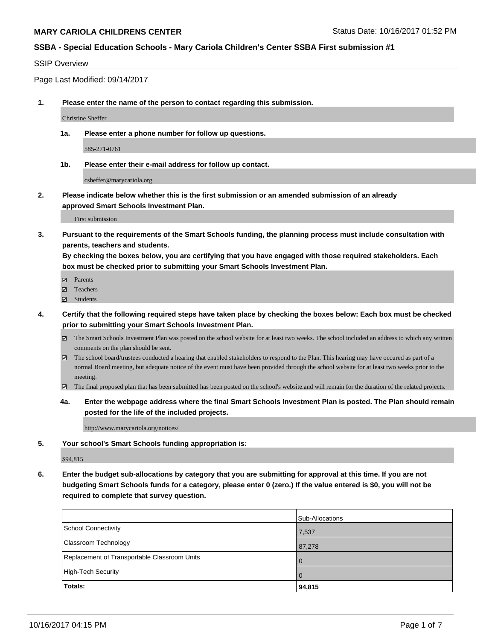#### SSIP Overview

Page Last Modified: 09/14/2017

**1. Please enter the name of the person to contact regarding this submission.**

Christine Sheffer

**1a. Please enter a phone number for follow up questions.**

585-271-0761

**1b. Please enter their e-mail address for follow up contact.**

csheffer@marycariola.org

**2. Please indicate below whether this is the first submission or an amended submission of an already approved Smart Schools Investment Plan.**

First submission

**3. Pursuant to the requirements of the Smart Schools funding, the planning process must include consultation with parents, teachers and students.**

**By checking the boxes below, you are certifying that you have engaged with those required stakeholders. Each box must be checked prior to submitting your Smart Schools Investment Plan.**

- **Ø** Parents
- **□** Teachers
- Students
- **4. Certify that the following required steps have taken place by checking the boxes below: Each box must be checked prior to submitting your Smart Schools Investment Plan.**
	- The Smart Schools Investment Plan was posted on the school website for at least two weeks. The school included an address to which any written comments on the plan should be sent.
	- The school board/trustees conducted a hearing that enabled stakeholders to respond to the Plan. This hearing may have occured as part of a normal Board meeting, but adequate notice of the event must have been provided through the school website for at least two weeks prior to the meeting.
	- The final proposed plan that has been submitted has been posted on the school's website.and will remain for the duration of the related projects.
	- **4a. Enter the webpage address where the final Smart Schools Investment Plan is posted. The Plan should remain posted for the life of the included projects.**

http://www.marycariola.org/notices/

**5. Your school's Smart Schools funding appropriation is:**

\$94,815

**6. Enter the budget sub-allocations by category that you are submitting for approval at this time. If you are not budgeting Smart Schools funds for a category, please enter 0 (zero.) If the value entered is \$0, you will not be required to complete that survey question.**

| Totals:                                      | 94,815          |
|----------------------------------------------|-----------------|
| High-Tech Security                           | l 0             |
| Replacement of Transportable Classroom Units | l O             |
| <b>Classroom Technology</b>                  | 87,278          |
| <b>School Connectivity</b>                   | 7,537           |
|                                              | Sub-Allocations |
|                                              |                 |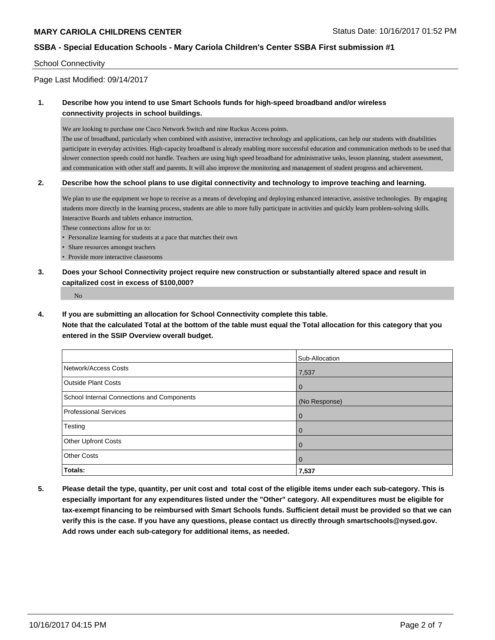### School Connectivity

Page Last Modified: 09/14/2017

## **1. Describe how you intend to use Smart Schools funds for high-speed broadband and/or wireless connectivity projects in school buildings.**

We are looking to purchase one Cisco Network Switch and nine Ruckus Access points.

The use of broadband, particularly when combined with assistive, interactive technology and applications, can help our students with disabilities participate in everyday activities. High-capacity broadband is already enabling more successful education and communication methods to be used that slower connection speeds could not handle. Teachers are using high speed broadband for administrative tasks, lesson planning, student assessment, and communication with other staff and parents. It will also improve the monitoring and management of student progress and achievement.

### **2. Describe how the school plans to use digital connectivity and technology to improve teaching and learning.**

We plan to use the equipment we hope to receive as a means of developing and deploying enhanced interactive, assistive technologies. By engaging students more directly in the learning process, students are able to more fully participate in activities and quickly learn problem-solving skills. Interactive Boards and tablets enhance instruction.

These connections allow for us to:

- Personalize learning for students at a pace that matches their own
- Share resources amongst teachers
- Provide more interactive classrooms
- **3. Does your School Connectivity project require new construction or substantially altered space and result in capitalized cost in excess of \$100,000?**

No

**4. If you are submitting an allocation for School Connectivity complete this table.**

**Note that the calculated Total at the bottom of the table must equal the Total allocation for this category that you entered in the SSIP Overview overall budget.** 

|                                            | Sub-Allocation |
|--------------------------------------------|----------------|
|                                            |                |
| Network/Access Costs                       | 7,537          |
| <b>Outside Plant Costs</b>                 | l 0            |
| School Internal Connections and Components | (No Response)  |
| <b>Professional Services</b>               | $\overline{0}$ |
| Testing                                    | $\overline{0}$ |
| <b>Other Upfront Costs</b>                 | $\overline{0}$ |
| <b>Other Costs</b>                         | $\overline{0}$ |
| Totals:                                    | 7,537          |

**5. Please detail the type, quantity, per unit cost and total cost of the eligible items under each sub-category. This is especially important for any expenditures listed under the "Other" category. All expenditures must be eligible for tax-exempt financing to be reimbursed with Smart Schools funds. Sufficient detail must be provided so that we can verify this is the case. If you have any questions, please contact us directly through smartschools@nysed.gov. Add rows under each sub-category for additional items, as needed.**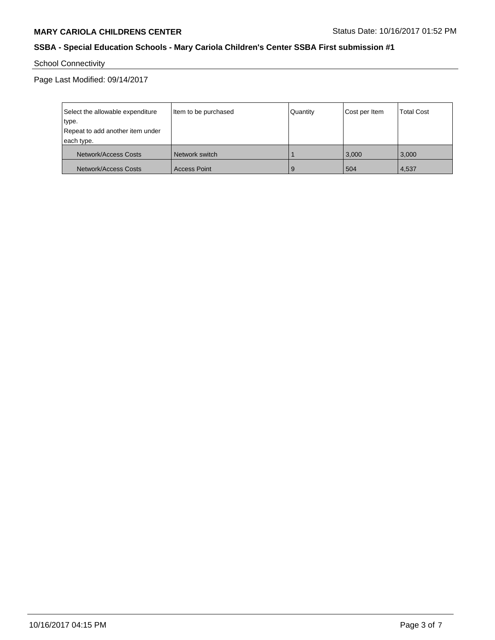School Connectivity

Page Last Modified: 09/14/2017

| Select the allowable expenditure<br>type.<br>Repeat to add another item under | Item to be purchased | Quantity | Cost per Item | <b>Total Cost</b> |
|-------------------------------------------------------------------------------|----------------------|----------|---------------|-------------------|
| each type.<br>Network/Access Costs                                            | Network switch       |          | 3.000         | 3.000             |
| Network/Access Costs                                                          | Access Point         | 9        | 504           | 4,537             |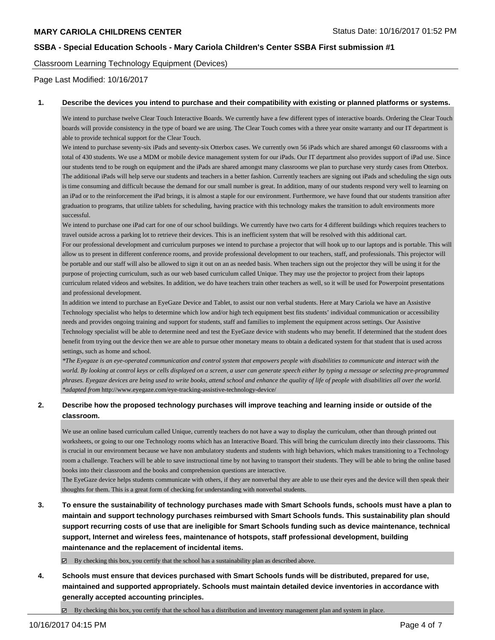Classroom Learning Technology Equipment (Devices)

Page Last Modified: 10/16/2017

#### **1. Describe the devices you intend to purchase and their compatibility with existing or planned platforms or systems.**

We intend to purchase twelve Clear Touch Interactive Boards. We currently have a few different types of interactive boards. Ordering the Clear Touch boards will provide consistency in the type of board we are using. The Clear Touch comes with a three year onsite warranty and our IT department is able to provide technical support for the Clear Touch.

We intend to purchase seventy-six iPads and seventy-six Otterbox cases. We currently own 56 iPads which are shared amongst 60 classrooms with a total of 430 students. We use a MDM or mobile device management system for our iPads. Our IT department also provides support of iPad use. Since our students tend to be rough on equipment and the iPads are shared amongst many classrooms we plan to purchase very sturdy cases from Otterbox. The additional iPads will help serve our students and teachers in a better fashion. Currently teachers are signing out iPads and scheduling the sign outs is time consuming and difficult because the demand for our small number is great. In addition, many of our students respond very well to learning on an iPad or to the reinforcement the iPad brings, it is almost a staple for our environment. Furthermore, we have found that our students transition after graduation to programs, that utilize tablets for scheduling, having practice with this technology makes the transition to adult environments more successful.

We intend to purchase one iPad cart for one of our school buildings. We currently have two carts for 4 different buildings which requires teachers to travel outside across a parking lot to retrieve their devices. This is an inefficient system that will be resolved with this additional cart.

For our professional development and curriculum purposes we intend to purchase a projector that will hook up to our laptops and is portable. This will allow us to present in different conference rooms, and provide professional development to our teachers, staff, and professionals. This projector will be portable and our staff will also be allowed to sign it out on an as needed basis. When teachers sign out the projector they will be using it for the purpose of projecting curriculum, such as our web based curriculum called Unique. They may use the projector to project from their laptops curriculum related videos and websites. In addition, we do have teachers train other teachers as well, so it will be used for Powerpoint presentations and professional development.

In addition we intend to purchase an EyeGaze Device and Tablet, to assist our non verbal students. Here at Mary Cariola we have an Assistive Technology specialist who helps to determine which low and/or high tech equipment best fits students' individual communication or accessibility needs and provides ongoing training and support for students, staff and families to implement the equipment across settings. Our Assistive Technology specialist will be able to determine need and test the EyeGaze device with students who may benefit. If determined that the student does benefit from trying out the device then we are able to pursue other monetary means to obtain a dedicated system for that student that is used across settings, such as home and school.

*\*The Eyegaze is an eye-operated communication and control system that empowers people with disabilities to communicate and interact with the world. By looking at control keys or cells displayed on a screen, a user can generate speech either by typing a message or selecting pre-programmed phrases. Eyegaze devices are being used to write books, attend school and enhance the quality of life of people with disabilities all over the world. \*adapted from* http://www.eyegaze.com/eye-tracking-assistive-technology-device/

## **2. Describe how the proposed technology purchases will improve teaching and learning inside or outside of the classroom.**

We use an online based curriculum called Unique, currently teachers do not have a way to display the curriculum, other than through printed out worksheets, or going to our one Technology rooms which has an Interactive Board. This will bring the curriculum directly into their classrooms. This is crucial in our environment because we have non ambulatory students and students with high behaviors, which makes transitioning to a Technology room a challenge. Teachers will be able to save instructional time by not having to transport their students. They will be able to bring the online based books into their classroom and the books and comprehension questions are interactive.

The EyeGaze device helps students communicate with others, if they are nonverbal they are able to use their eyes and the device will then speak their thoughts for them. This is a great form of checking for understanding with nonverbal students.

**3. To ensure the sustainability of technology purchases made with Smart Schools funds, schools must have a plan to maintain and support technology purchases reimbursed with Smart Schools funds. This sustainability plan should support recurring costs of use that are ineligible for Smart Schools funding such as device maintenance, technical support, Internet and wireless fees, maintenance of hotspots, staff professional development, building maintenance and the replacement of incidental items.**

By checking this box, you certify that the school has a sustainability plan as described above.

- **4. Schools must ensure that devices purchased with Smart Schools funds will be distributed, prepared for use, maintained and supported appropriately. Schools must maintain detailed device inventories in accordance with generally accepted accounting principles.**
	- $\boxtimes$  By checking this box, you certify that the school has a distribution and inventory management plan and system in place.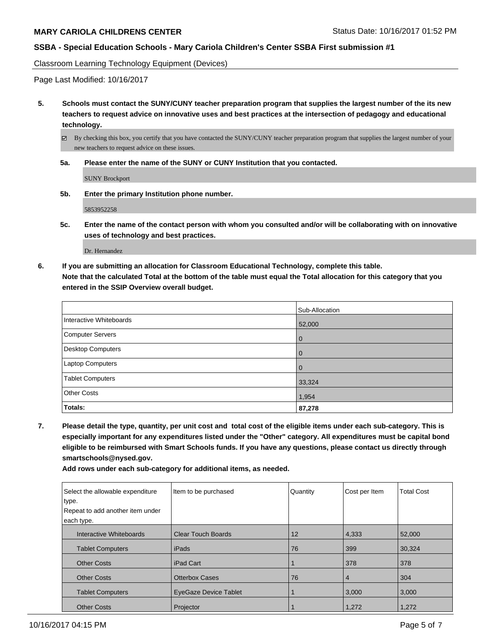Classroom Learning Technology Equipment (Devices)

Page Last Modified: 10/16/2017

**5. Schools must contact the SUNY/CUNY teacher preparation program that supplies the largest number of the its new teachers to request advice on innovative uses and best practices at the intersection of pedagogy and educational technology.**

By checking this box, you certify that you have contacted the SUNY/CUNY teacher preparation program that supplies the largest number of your new teachers to request advice on these issues.

**5a. Please enter the name of the SUNY or CUNY Institution that you contacted.**

SUNY Brockport

**5b. Enter the primary Institution phone number.**

5853952258

**5c. Enter the name of the contact person with whom you consulted and/or will be collaborating with on innovative uses of technology and best practices.**

Dr. Hernandez

**6. If you are submitting an allocation for Classroom Educational Technology, complete this table. Note that the calculated Total at the bottom of the table must equal the Total allocation for this category that you entered in the SSIP Overview overall budget.**

|                          | Sub-Allocation |
|--------------------------|----------------|
| Interactive Whiteboards  | 52,000         |
| Computer Servers         | l 0            |
| <b>Desktop Computers</b> | <b>0</b>       |
| Laptop Computers         | l O            |
| <b>Tablet Computers</b>  | 33,324         |
| <b>Other Costs</b>       | 1,954          |
| Totals:                  | 87,278         |

**7. Please detail the type, quantity, per unit cost and total cost of the eligible items under each sub-category. This is especially important for any expenditures listed under the "Other" category. All expenditures must be capital bond eligible to be reimbursed with Smart Schools funds. If you have any questions, please contact us directly through smartschools@nysed.gov.**

**Add rows under each sub-category for additional items, as needed.**

| Select the allowable expenditure | Item to be purchased         | Quantity | Cost per Item  | <b>Total Cost</b> |
|----------------------------------|------------------------------|----------|----------------|-------------------|
| type.                            |                              |          |                |                   |
| Repeat to add another item under |                              |          |                |                   |
| each type.                       |                              |          |                |                   |
| Interactive Whiteboards          | <b>Clear Touch Boards</b>    | 12       | 4,333          | 52,000            |
| <b>Tablet Computers</b>          | iPads                        | 76       | 399            | 30,324            |
| <b>Other Costs</b>               | iPad Cart                    |          | 378            | 378               |
| <b>Other Costs</b>               | <b>Otterbox Cases</b>        | 76       | $\overline{4}$ | 304               |
| <b>Tablet Computers</b>          | <b>EyeGaze Device Tablet</b> |          | 3,000          | 3,000             |
| <b>Other Costs</b>               | Projector                    |          | 1,272          | 1,272             |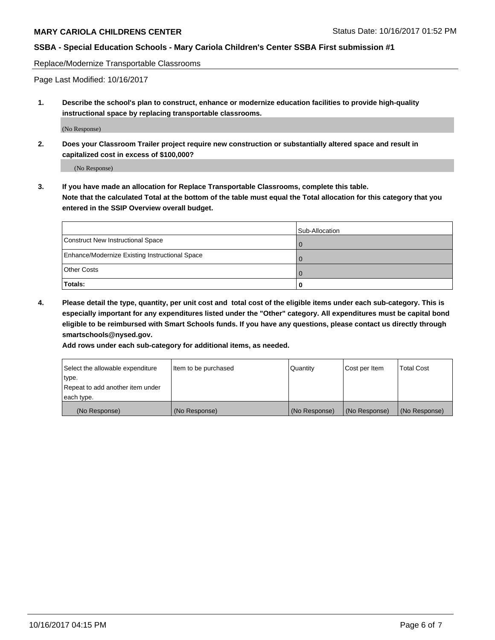Replace/Modernize Transportable Classrooms

Page Last Modified: 10/16/2017

**1. Describe the school's plan to construct, enhance or modernize education facilities to provide high-quality instructional space by replacing transportable classrooms.**

(No Response)

**2. Does your Classroom Trailer project require new construction or substantially altered space and result in capitalized cost in excess of \$100,000?**

(No Response)

**3. If you have made an allocation for Replace Transportable Classrooms, complete this table. Note that the calculated Total at the bottom of the table must equal the Total allocation for this category that you entered in the SSIP Overview overall budget.**

|                                                | Sub-Allocation |
|------------------------------------------------|----------------|
| Construct New Instructional Space              | 0              |
| Enhance/Modernize Existing Instructional Space |                |
| <b>Other Costs</b>                             | $\Omega$       |
| Totals:                                        | 0              |

**4. Please detail the type, quantity, per unit cost and total cost of the eligible items under each sub-category. This is especially important for any expenditures listed under the "Other" category. All expenditures must be capital bond eligible to be reimbursed with Smart Schools funds. If you have any questions, please contact us directly through smartschools@nysed.gov.**

**Add rows under each sub-category for additional items, as needed.**

| Select the allowable expenditure | Item to be purchased | Quantity      | Cost per Item | <b>Total Cost</b> |
|----------------------------------|----------------------|---------------|---------------|-------------------|
| type.                            |                      |               |               |                   |
| Repeat to add another item under |                      |               |               |                   |
| each type.                       |                      |               |               |                   |
| (No Response)                    | (No Response)        | (No Response) | (No Response) | (No Response)     |